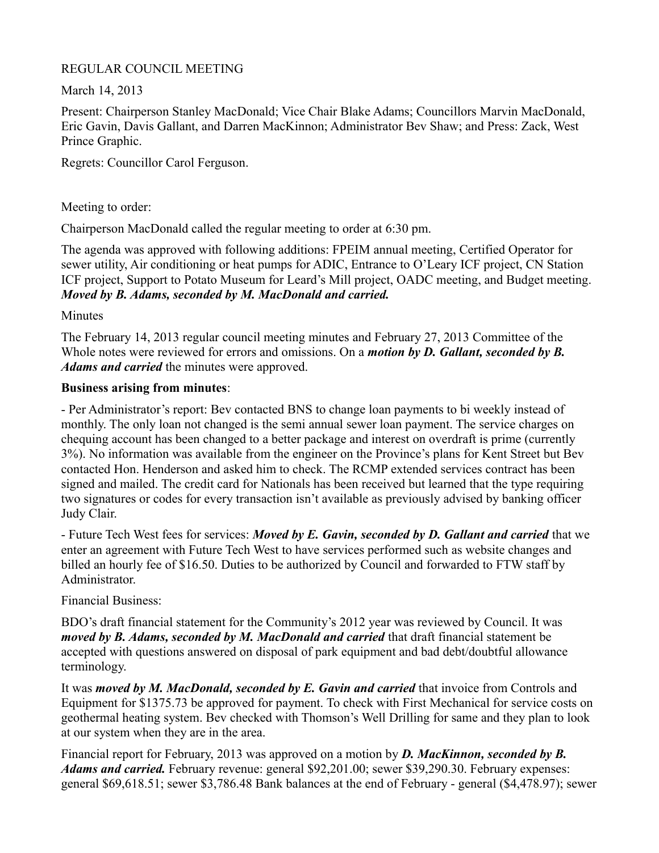## REGULAR COUNCIL MEETING

March 14, 2013

Present: Chairperson Stanley MacDonald; Vice Chair Blake Adams; Councillors Marvin MacDonald, Eric Gavin, Davis Gallant, and Darren MacKinnon; Administrator Bev Shaw; and Press: Zack, West Prince Graphic.

Regrets: Councillor Carol Ferguson.

Meeting to order:

Chairperson MacDonald called the regular meeting to order at 6:30 pm.

The agenda was approved with following additions: FPEIM annual meeting, Certified Operator for sewer utility, Air conditioning or heat pumps for ADIC, Entrance to O'Leary ICF project, CN Station ICF project, Support to Potato Museum for Leard's Mill project, OADC meeting, and Budget meeting. *Moved by B. Adams, seconded by M. MacDonald and carried.*

Minutes

The February 14, 2013 regular council meeting minutes and February 27, 2013 Committee of the Whole notes were reviewed for errors and omissions. On a *motion by D. Gallant, seconded by B. Adams and carried* the minutes were approved.

## **Business arising from minutes**:

- Per Administrator's report: Bev contacted BNS to change loan payments to bi weekly instead of monthly. The only loan not changed is the semi annual sewer loan payment. The service charges on chequing account has been changed to a better package and interest on overdraft is prime (currently 3%). No information was available from the engineer on the Province's plans for Kent Street but Bev contacted Hon. Henderson and asked him to check. The RCMP extended services contract has been signed and mailed. The credit card for Nationals has been received but learned that the type requiring two signatures or codes for every transaction isn't available as previously advised by banking officer Judy Clair.

- Future Tech West fees for services: *Moved by E. Gavin, seconded by D. Gallant and carried* that we enter an agreement with Future Tech West to have services performed such as website changes and billed an hourly fee of \$16.50. Duties to be authorized by Council and forwarded to FTW staff by Administrator.

Financial Business:

BDO's draft financial statement for the Community's 2012 year was reviewed by Council. It was *moved by B. Adams, seconded by M. MacDonald and carried* that draft financial statement be accepted with questions answered on disposal of park equipment and bad debt/doubtful allowance terminology.

It was *moved by M. MacDonald, seconded by E. Gavin and carried* that invoice from Controls and Equipment for \$1375.73 be approved for payment. To check with First Mechanical for service costs on geothermal heating system. Bev checked with Thomson's Well Drilling for same and they plan to look at our system when they are in the area.

Financial report for February, 2013 was approved on a motion by *D. MacKinnon, seconded by B. Adams and carried.* February revenue: general \$92,201.00; sewer \$39,290.30. February expenses: general \$69,618.51; sewer \$3,786.48 Bank balances at the end of February - general (\$4,478.97); sewer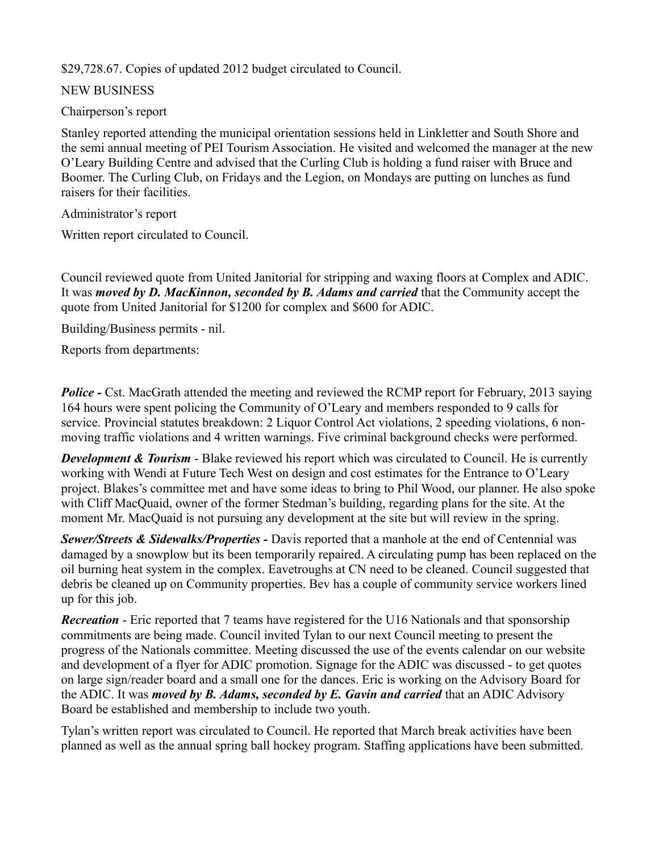\$29,728.67. Copies of updated 2012 budget circulated to Council.

# NEW BUSINESS

# Chairperson's report

Stanley reported attending the municipal orientation sessions held in Linkletter and South Shore and the semi annual meeting of PEI Tourism Association. He visited and welcomed the manager at the new O'Leary Building Centre and advised that the Curling Club is holding a fund raiser with Bruce and Boomer. The Curling Club, on Fridays and the Legion, on Mondays are putting on lunches as fund raisers for their facilities.

Administrator's report

Written report circulated to Council.

Council reviewed quote from United Janitorial for stripping and waxing floors at Complex and ADIC. It was *moved by D. MacKinnon, seconded by B. Adams and carried* that the Community accept the quote from United Janitorial for \$1200 for complex and \$600 for ADIC.

Building/Business permits - nil.

Reports from departments:

*Police -* Cst. MacGrath attended the meeting and reviewed the RCMP report for February, 2013 saying 164 hours were spent policing the Community of O'Leary and members responded to 9 calls for service. Provincial statutes breakdown: 2 Liquor Control Act violations, 2 speeding violations, 6 nonmoving traffic violations and 4 written warnings. Five criminal background checks were performed.

*Development & Tourism* - Blake reviewed his report which was circulated to Council. He is currently working with Wendi at Future Tech West on design and cost estimates for the Entrance to O'Leary project. Blakes's committee met and have some ideas to bring to Phil Wood, our planner. He also spoke with Cliff MacQuaid, owner of the former Stedman's building, regarding plans for the site. At the moment Mr. MacQuaid is not pursuing any development at the site but will review in the spring.

*Sewer/Streets & Sidewalks/Properties -* Davis reported that a manhole at the end of Centennial was damaged by a snowplow but its been temporarily repaired. A circulating pump has been replaced on the oil burning heat system in the complex. Eavetroughs at CN need to be cleaned. Council suggested that debris be cleaned up on Community properties. Bev has a couple of community service workers lined up for this job.

*Recreation* - Eric reported that 7 teams have registered for the U16 Nationals and that sponsorship commitments are being made. Council invited Tylan to our next Council meeting to present the progress of the Nationals committee. Meeting discussed the use of the events calendar on our website and development of a flyer for ADIC promotion. Signage for the ADIC was discussed - to get quotes on large sign/reader board and a small one for the dances. Eric is working on the Advisory Board for the ADIC. It was *moved by B. Adams, seconded by E. Gavin and carried* that an ADIC Advisory Board be established and membership to include two youth.

Tylan's written report was circulated to Council. He reported that March break activities have been planned as well as the annual spring ball hockey program. Staffing applications have been submitted.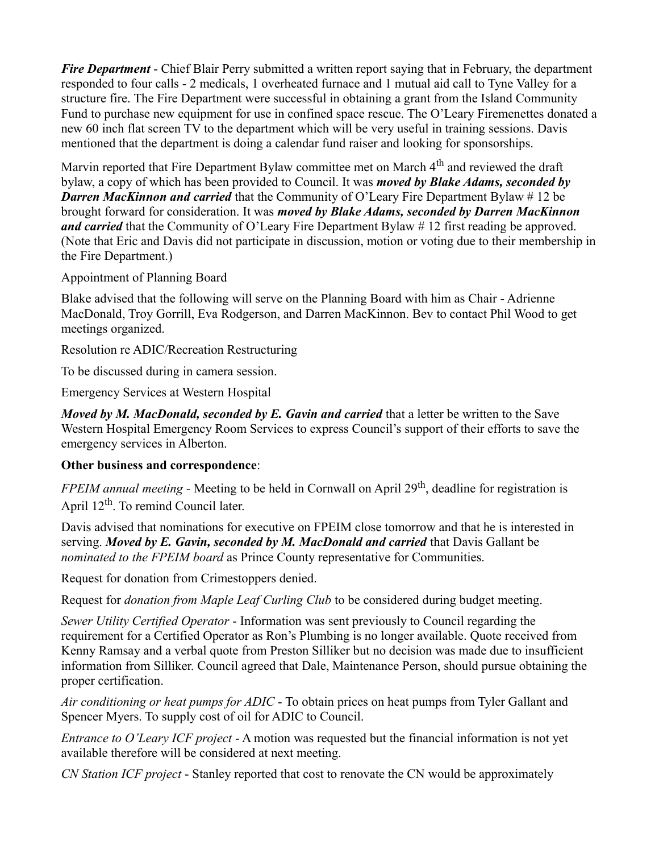*Fire Department* - Chief Blair Perry submitted a written report saying that in February, the department responded to four calls - 2 medicals, 1 overheated furnace and 1 mutual aid call to Tyne Valley for a structure fire. The Fire Department were successful in obtaining a grant from the Island Community Fund to purchase new equipment for use in confined space rescue. The O'Leary Firemenettes donated a new 60 inch flat screen TV to the department which will be very useful in training sessions. Davis mentioned that the department is doing a calendar fund raiser and looking for sponsorships.

Marvin reported that Fire Department Bylaw committee met on March 4<sup>th</sup> and reviewed the draft bylaw, a copy of which has been provided to Council. It was *moved by Blake Adams, seconded by Darren MacKinnon and carried* that the Community of O'Leary Fire Department Bylaw # 12 be brought forward for consideration. It was *moved by Blake Adams, seconded by Darren MacKinnon and carried* that the Community of O'Leary Fire Department Bylaw # 12 first reading be approved. (Note that Eric and Davis did not participate in discussion, motion or voting due to their membership in the Fire Department.)

Appointment of Planning Board

Blake advised that the following will serve on the Planning Board with him as Chair - Adrienne MacDonald, Troy Gorrill, Eva Rodgerson, and Darren MacKinnon. Bev to contact Phil Wood to get meetings organized.

Resolution re ADIC/Recreation Restructuring

To be discussed during in camera session.

Emergency Services at Western Hospital

*Moved by M. MacDonald, seconded by E. Gavin and carried* that a letter be written to the Save Western Hospital Emergency Room Services to express Council's support of their efforts to save the emergency services in Alberton.

### **Other business and correspondence**:

*FPEIM annual meeting -* Meeting to be held in Cornwall on April 29<sup>th</sup>, deadline for registration is April 12<sup>th</sup>. To remind Council later.

Davis advised that nominations for executive on FPEIM close tomorrow and that he is interested in serving. *Moved by E. Gavin, seconded by M. MacDonald and carried* that Davis Gallant be *nominated to the FPEIM board* as Prince County representative for Communities.

Request for donation from Crimestoppers denied.

Request for *donation from Maple Leaf Curling Club* to be considered during budget meeting.

*Sewer Utility Certified Operator* - Information was sent previously to Council regarding the requirement for a Certified Operator as Ron's Plumbing is no longer available. Quote received from Kenny Ramsay and a verbal quote from Preston Silliker but no decision was made due to insufficient information from Silliker. Council agreed that Dale, Maintenance Person, should pursue obtaining the proper certification.

*Air conditioning or heat pumps for ADIC* - To obtain prices on heat pumps from Tyler Gallant and Spencer Myers. To supply cost of oil for ADIC to Council.

*Entrance to O'Leary ICF project* - A motion was requested but the financial information is not yet available therefore will be considered at next meeting.

*CN Station ICF project* - Stanley reported that cost to renovate the CN would be approximately